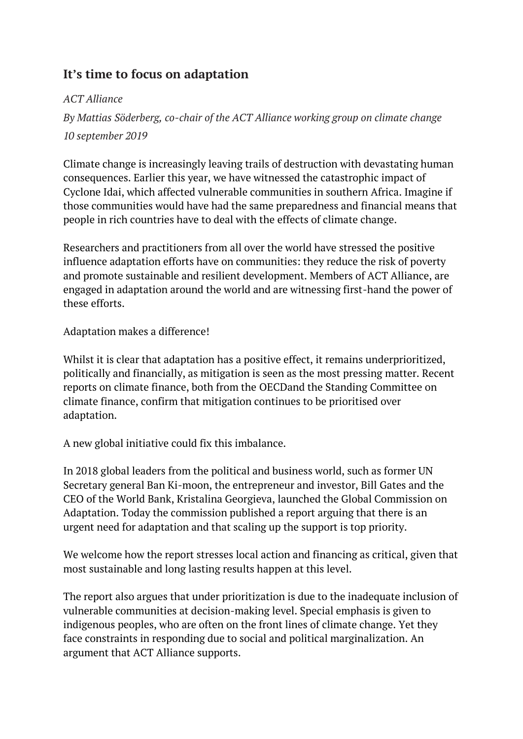## **It's time to focus on adaptation**

## *ACT Alliance*

*By Mattias Söderberg, co-chair of the ACT Alliance working group on climate change 10 september 2019*

Climate change is increasingly leaving trails of destruction with devastating human consequences. Earlier this year, we have witnessed the catastrophic impact of Cyclone Idai, which affected vulnerable communities in southern Africa. Imagine if those communities would have had the same preparedness and financial means that people in rich countries have to deal with the effects of climate change.

Researchers and practitioners from all over the world have stressed the positive influence adaptation efforts have on communities: they reduce the risk of poverty and promote sustainable and resilient development. Members of ACT Alliance, are engaged in adaptation around the world and are witnessing first-hand the power of these efforts.

Adaptation makes a difference!

Whilst it is clear that adaptation has a positive effect, it remains underprioritized, politically and financially, as mitigation is seen as the most pressing matter. Recent reports on climate finance, both from the [OECDa](http://www.oecd.org/environment/cc/Key-results-Climate-finance-from-developed-to-developing-countries-Public-flows-in-2013-17-ENG.pdf)nd the Standing [Committee](https://unfccc.int/sites/default/files/resource/2018%20BA%20Technical%20Report%20Final%20Feb%202019.pdf) on climate [finance,](https://unfccc.int/sites/default/files/resource/2018%20BA%20Technical%20Report%20Final%20Feb%202019.pdf) confirm that mitigation continues to be prioritised over adaptation.

A new global initiative could fix this imbalance.

In 2018 global leaders from the political and business world, such as former UN Secretary general Ban Ki-moon, the entrepreneur and investor, Bill Gates and the CEO of the World Bank, Kristalina Georgieva, launched the Global Commission on Adaptation. Today the commission published a report arguing that there is an urgent need for adaptation and that scaling up the support is top priority.

We welcome how the report stresses local action and financing as critical, given that most sustainable and long lasting results happen at this level.

The report also argues that under prioritization is due to the inadequate inclusion of vulnerable communities at decision-making level. Special emphasis is given to indigenous peoples, who are often on the front lines of climate change. Yet they face constraints in responding due to social and political marginalization. An argument that ACT Alliance supports.